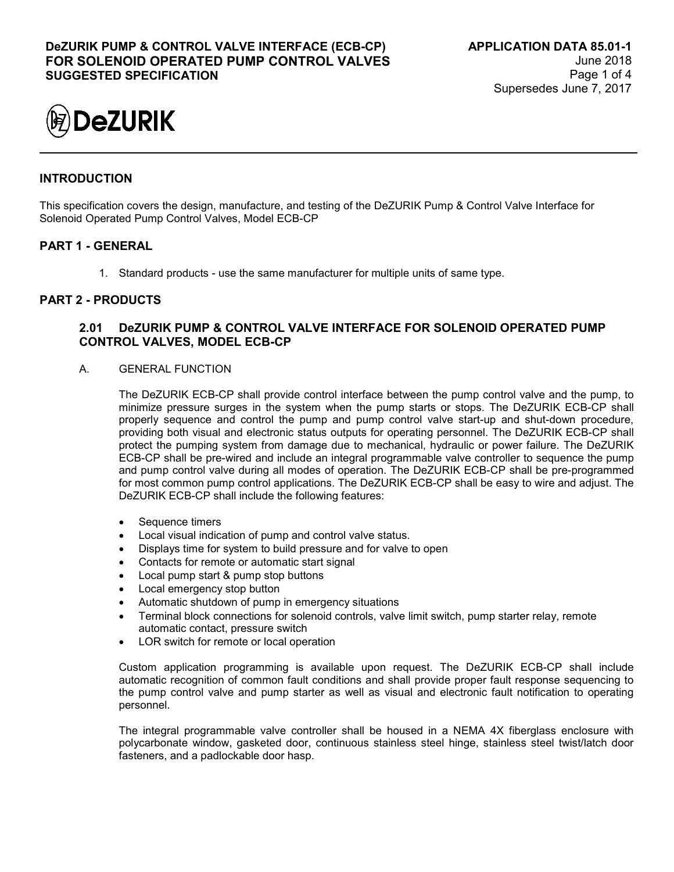

# **INTRODUCTION**

This specification covers the design, manufacture, and testing of the DeZURIK Pump & Control Valve Interface for Solenoid Operated Pump Control Valves, Model ECB-CP

## **PART 1 - GENERAL**

1. Standard products - use the same manufacturer for multiple units of same type.

### **PART 2 - PRODUCTS**

### **2.01 DeZURIK PUMP & CONTROL VALVE INTERFACE FOR SOLENOID OPERATED PUMP CONTROL VALVES, MODEL ECB-CP**

A. GENERAL FUNCTION

The DeZURIK ECB-CP shall provide control interface between the pump control valve and the pump, to minimize pressure surges in the system when the pump starts or stops. The DeZURIK ECB-CP shall properly sequence and control the pump and pump control valve start-up and shut-down procedure, providing both visual and electronic status outputs for operating personnel. The DeZURIK ECB-CP shall protect the pumping system from damage due to mechanical, hydraulic or power failure. The DeZURIK ECB-CP shall be pre-wired and include an integral programmable valve controller to sequence the pump and pump control valve during all modes of operation. The DeZURIK ECB-CP shall be pre-programmed for most common pump control applications. The DeZURIK ECB-CP shall be easy to wire and adjust. The DeZURIK ECB-CP shall include the following features:

- Sequence timers
- Local visual indication of pump and control valve status.
- Displays time for system to build pressure and for valve to open
- Contacts for remote or automatic start signal
- Local pump start & pump stop buttons
- Local emergency stop button
- Automatic shutdown of pump in emergency situations
- Terminal block connections for solenoid controls, valve limit switch, pump starter relay, remote automatic contact, pressure switch
- LOR switch for remote or local operation

Custom application programming is available upon request. The DeZURIK ECB-CP shall include automatic recognition of common fault conditions and shall provide proper fault response sequencing to the pump control valve and pump starter as well as visual and electronic fault notification to operating personnel.

The integral programmable valve controller shall be housed in a NEMA 4X fiberglass enclosure with polycarbonate window, gasketed door, continuous stainless steel hinge, stainless steel twist/latch door fasteners, and a padlockable door hasp.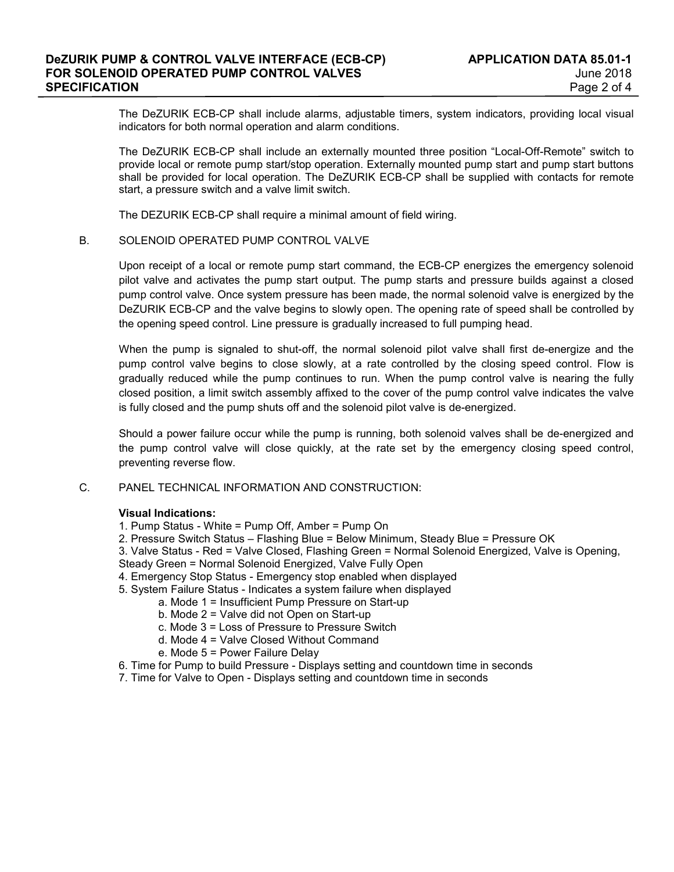The DeZURIK ECB-CP shall include alarms, adjustable timers, system indicators, providing local visual indicators for both normal operation and alarm conditions.

The DeZURIK ECB-CP shall include an externally mounted three position "Local-Off-Remote" switch to provide local or remote pump start/stop operation. Externally mounted pump start and pump start buttons shall be provided for local operation. The DeZURIK ECB-CP shall be supplied with contacts for remote start, a pressure switch and a valve limit switch.

The DEZURIK ECB-CP shall require a minimal amount of field wiring.

#### B. SOLENOID OPERATED PUMP CONTROL VALVE

Upon receipt of a local or remote pump start command, the ECB-CP energizes the emergency solenoid pilot valve and activates the pump start output. The pump starts and pressure builds against a closed pump control valve. Once system pressure has been made, the normal solenoid valve is energized by the DeZURIK ECB-CP and the valve begins to slowly open. The opening rate of speed shall be controlled by the opening speed control. Line pressure is gradually increased to full pumping head.

When the pump is signaled to shut-off, the normal solenoid pilot valve shall first de-energize and the pump control valve begins to close slowly, at a rate controlled by the closing speed control. Flow is gradually reduced while the pump continues to run. When the pump control valve is nearing the fully closed position, a limit switch assembly affixed to the cover of the pump control valve indicates the valve is fully closed and the pump shuts off and the solenoid pilot valve is de-energized.

Should a power failure occur while the pump is running, both solenoid valves shall be de-energized and the pump control valve will close quickly, at the rate set by the emergency closing speed control, preventing reverse flow.

#### C. PANEL TECHNICAL INFORMATION AND CONSTRUCTION:

#### **Visual Indications:**

- 1. Pump Status White = Pump Off, Amber = Pump On
- 2. Pressure Switch Status Flashing Blue = Below Minimum, Steady Blue = Pressure OK
- 3. Valve Status Red = Valve Closed, Flashing Green = Normal Solenoid Energized, Valve is Opening,
- Steady Green = Normal Solenoid Energized, Valve Fully Open
- 4. Emergency Stop Status Emergency stop enabled when displayed
- 5. System Failure Status Indicates a system failure when displayed
	- a. Mode 1 = Insufficient Pump Pressure on Start-up
	- b. Mode 2 = Valve did not Open on Start-up
	- c. Mode 3 = Loss of Pressure to Pressure Switch
	- d. Mode 4 = Valve Closed Without Command
	- e. Mode 5 = Power Failure Delay
- 6. Time for Pump to build Pressure Displays setting and countdown time in seconds
- 7. Time for Valve to Open Displays setting and countdown time in seconds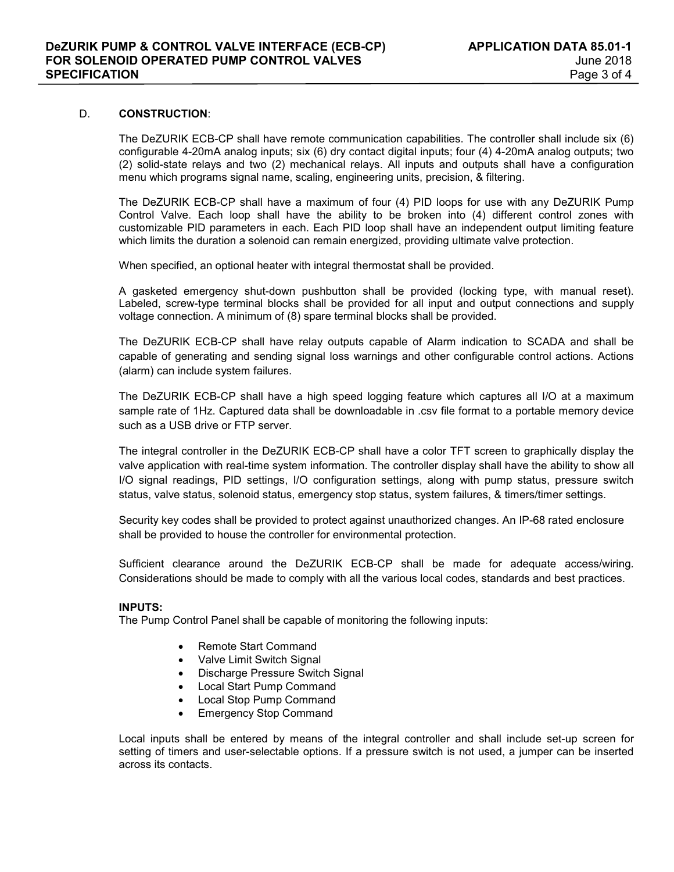#### D. **CONSTRUCTION**:

The DeZURIK ECB-CP shall have remote communication capabilities. The controller shall include six (6) configurable 4-20mA analog inputs; six (6) dry contact digital inputs; four (4) 4-20mA analog outputs; two (2) solid-state relays and two (2) mechanical relays. All inputs and outputs shall have a configuration menu which programs signal name, scaling, engineering units, precision, & filtering.

The DeZURIK ECB-CP shall have a maximum of four (4) PID loops for use with any DeZURIK Pump Control Valve. Each loop shall have the ability to be broken into (4) different control zones with customizable PID parameters in each. Each PID loop shall have an independent output limiting feature which limits the duration a solenoid can remain energized, providing ultimate valve protection.

When specified, an optional heater with integral thermostat shall be provided.

A gasketed emergency shut-down pushbutton shall be provided (locking type, with manual reset). Labeled, screw-type terminal blocks shall be provided for all input and output connections and supply voltage connection. A minimum of (8) spare terminal blocks shall be provided.

The DeZURIK ECB-CP shall have relay outputs capable of Alarm indication to SCADA and shall be capable of generating and sending signal loss warnings and other configurable control actions. Actions (alarm) can include system failures.

The DeZURIK ECB-CP shall have a high speed logging feature which captures all I/O at a maximum sample rate of 1Hz. Captured data shall be downloadable in .csv file format to a portable memory device such as a USB drive or FTP server.

The integral controller in the DeZURIK ECB-CP shall have a color TFT screen to graphically display the valve application with real-time system information. The controller display shall have the ability to show all I/O signal readings, PID settings, I/O configuration settings, along with pump status, pressure switch status, valve status, solenoid status, emergency stop status, system failures, & timers/timer settings.

Security key codes shall be provided to protect against unauthorized changes. An IP-68 rated enclosure shall be provided to house the controller for environmental protection.

Sufficient clearance around the DeZURIK ECB-CP shall be made for adequate access/wiring. Considerations should be made to comply with all the various local codes, standards and best practices.

#### **INPUTS:**

The Pump Control Panel shall be capable of monitoring the following inputs:

- Remote Start Command
- Valve Limit Switch Signal
- Discharge Pressure Switch Signal
- Local Start Pump Command
- Local Stop Pump Command
- Emergency Stop Command

Local inputs shall be entered by means of the integral controller and shall include set-up screen for setting of timers and user-selectable options. If a pressure switch is not used, a jumper can be inserted across its contacts.